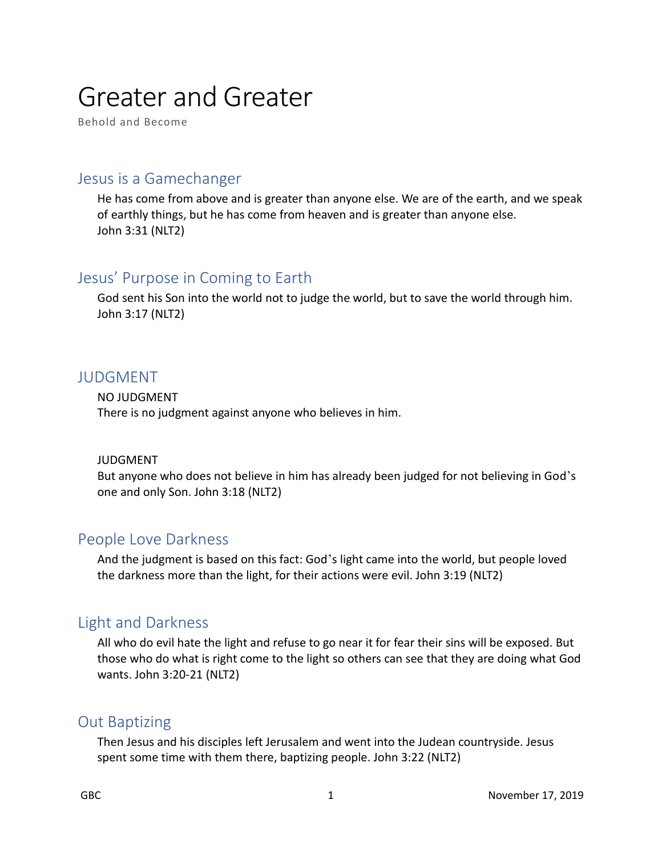# Greater and Greater

Behold and Become

#### Jesus is a Gamechanger

He has come from above and is greater than anyone else. We are of the earth, and we speak of earthly things, but he has come from heaven and is greater than anyone else. John 3:31 (NLT2)

# Jesus' Purpose in Coming to Earth

God sent his Son into the world not to judge the world, but to save the world through him. John 3:17 (NLT2)

#### JUDGMENT

NO JUDGMENT There is no judgment against anyone who believes in him.

#### JUDGMENT

But anyone who does not believe in him has already been judged for not believing in God's one and only Son. John 3:18 (NLT2)

#### People Love Darkness

And the judgment is based on this fact: God's light came into the world, but people loved the darkness more than the light, for their actions were evil. John 3:19 (NLT2)

# Light and Darkness

All who do evil hate the light and refuse to go near it for fear their sins will be exposed. But those who do what is right come to the light so others can see that they are doing what God wants. John 3:20-21 (NLT2)

#### Out Baptizing

Then Jesus and his disciples left Jerusalem and went into the Judean countryside. Jesus spent some time with them there, baptizing people. John 3:22 (NLT2)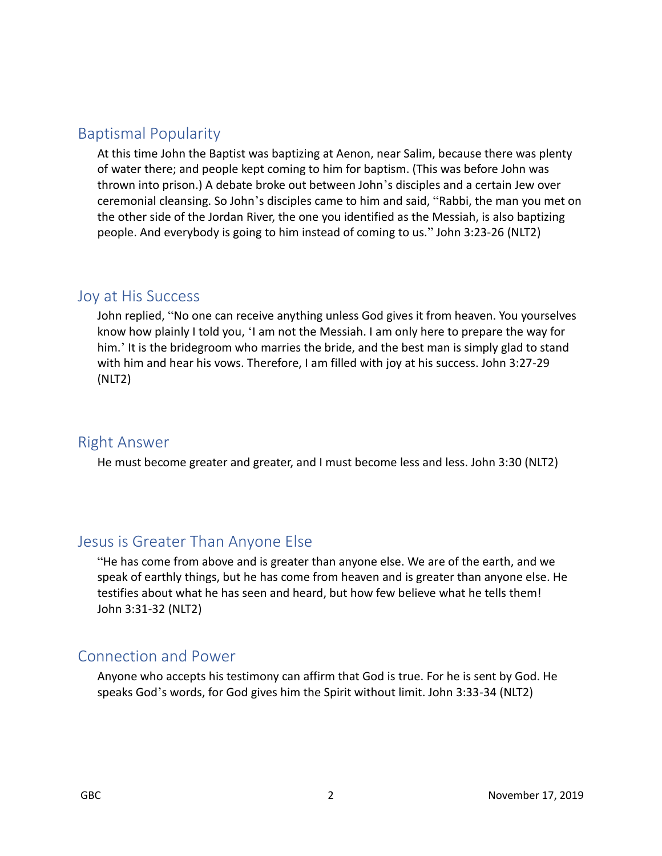# Baptismal Popularity

At this time John the Baptist was baptizing at Aenon, near Salim, because there was plenty of water there; and people kept coming to him for baptism. (This was before John was thrown into prison.) A debate broke out between John's disciples and a certain Jew over ceremonial cleansing. So John's disciples came to him and said, "Rabbi, the man you met on the other side of the Jordan River, the one you identified as the Messiah, is also baptizing people. And everybody is going to him instead of coming to us." John 3:23-26 (NLT2)

#### Joy at His Success

John replied, "No one can receive anything unless God gives it from heaven. You yourselves know how plainly I told you, 'I am not the Messiah. I am only here to prepare the way for him.' It is the bridegroom who marries the bride, and the best man is simply glad to stand with him and hear his vows. Therefore, I am filled with joy at his success. John 3:27-29 (NLT2)

#### Right Answer

He must become greater and greater, and I must become less and less. John 3:30 (NLT2)

# Jesus is Greater Than Anyone Else

"He has come from above and is greater than anyone else. We are of the earth, and we speak of earthly things, but he has come from heaven and is greater than anyone else. He testifies about what he has seen and heard, but how few believe what he tells them! John 3:31-32 (NLT2)

# Connection and Power

Anyone who accepts his testimony can affirm that God is true. For he is sent by God. He speaks God's words, for God gives him the Spirit without limit. John 3:33-34 (NLT2)